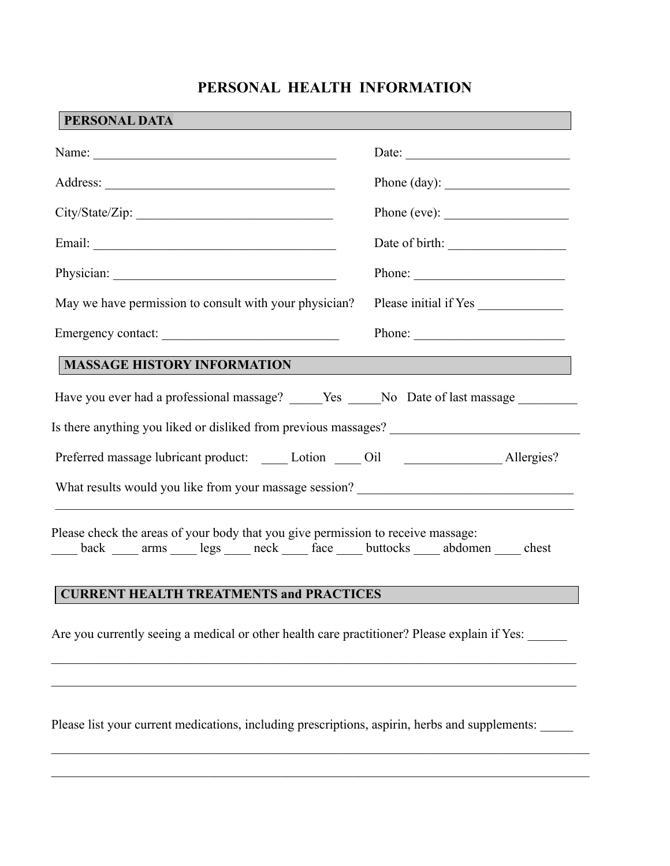## **PERSONAL HEALTH INFORMATION**

| PERSONAL DATA                                                                                                                                                                  |                                                                                                                                                                                                                                                                                                                                                                                                              |  |
|--------------------------------------------------------------------------------------------------------------------------------------------------------------------------------|--------------------------------------------------------------------------------------------------------------------------------------------------------------------------------------------------------------------------------------------------------------------------------------------------------------------------------------------------------------------------------------------------------------|--|
|                                                                                                                                                                                |                                                                                                                                                                                                                                                                                                                                                                                                              |  |
|                                                                                                                                                                                | Phone (day): $\qquad \qquad$                                                                                                                                                                                                                                                                                                                                                                                 |  |
| City/State/Zip:                                                                                                                                                                |                                                                                                                                                                                                                                                                                                                                                                                                              |  |
|                                                                                                                                                                                | Date of birth:                                                                                                                                                                                                                                                                                                                                                                                               |  |
|                                                                                                                                                                                | Phone: $\frac{1}{\sqrt{1-\frac{1}{2}}\sqrt{1-\frac{1}{2}}\sqrt{1-\frac{1}{2}}\sqrt{1-\frac{1}{2}}\sqrt{1-\frac{1}{2}}\sqrt{1-\frac{1}{2}}\sqrt{1-\frac{1}{2}}\sqrt{1-\frac{1}{2}}\sqrt{1-\frac{1}{2}}\sqrt{1-\frac{1}{2}}\sqrt{1-\frac{1}{2}}\sqrt{1-\frac{1}{2}}\sqrt{1-\frac{1}{2}}\sqrt{1-\frac{1}{2}}\sqrt{1-\frac{1}{2}}\sqrt{1-\frac{1}{2}}\sqrt{1-\frac{1}{2}}\sqrt{1-\frac{1}{2}}\sqrt{1-\frac{1}{2$ |  |
| May we have permission to consult with your physician?                                                                                                                         | Please initial if Yes                                                                                                                                                                                                                                                                                                                                                                                        |  |
|                                                                                                                                                                                | Phone: $\qquad \qquad$                                                                                                                                                                                                                                                                                                                                                                                       |  |
| <b>MASSAGE HISTORY INFORMATION</b>                                                                                                                                             |                                                                                                                                                                                                                                                                                                                                                                                                              |  |
| Have you ever had a professional massage? _____Yes ____No Date of last massage ________                                                                                        |                                                                                                                                                                                                                                                                                                                                                                                                              |  |
| Is there anything you liked or disliked from previous massages?                                                                                                                |                                                                                                                                                                                                                                                                                                                                                                                                              |  |
| Preferred massage lubricant product: _____ Lotion _____ Oil ____________________ Allergies?                                                                                    |                                                                                                                                                                                                                                                                                                                                                                                                              |  |
| What results would you like from your massage session? __________________________                                                                                              |                                                                                                                                                                                                                                                                                                                                                                                                              |  |
| Please check the areas of your body that you give permission to receive massage:<br>back _____ arms ______ legs _____ neck _____ face _____ buttocks _____ abdomen _____ chest |                                                                                                                                                                                                                                                                                                                                                                                                              |  |
| <b>CURRENT HEALTH TREATMENTS and PRACTICES</b>                                                                                                                                 |                                                                                                                                                                                                                                                                                                                                                                                                              |  |
| Are you currently seeing a medical or other health care practitioner? Please explain if Yes:                                                                                   |                                                                                                                                                                                                                                                                                                                                                                                                              |  |

Please list your current medications, including prescriptions, aspirin, herbs and supplements: \_\_\_\_\_

 $\mathcal{L}_\mathcal{L} = \{ \mathcal{L}_\mathcal{L} = \{ \mathcal{L}_\mathcal{L} = \{ \mathcal{L}_\mathcal{L} = \{ \mathcal{L}_\mathcal{L} = \{ \mathcal{L}_\mathcal{L} = \{ \mathcal{L}_\mathcal{L} = \{ \mathcal{L}_\mathcal{L} = \{ \mathcal{L}_\mathcal{L} = \{ \mathcal{L}_\mathcal{L} = \{ \mathcal{L}_\mathcal{L} = \{ \mathcal{L}_\mathcal{L} = \{ \mathcal{L}_\mathcal{L} = \{ \mathcal{L}_\mathcal{L} = \{ \mathcal{L}_\mathcal{$ 

 $\mathcal{L}_\mathcal{L} = \{ \mathcal{L}_\mathcal{L} = \{ \mathcal{L}_\mathcal{L} = \{ \mathcal{L}_\mathcal{L} = \{ \mathcal{L}_\mathcal{L} = \{ \mathcal{L}_\mathcal{L} = \{ \mathcal{L}_\mathcal{L} = \{ \mathcal{L}_\mathcal{L} = \{ \mathcal{L}_\mathcal{L} = \{ \mathcal{L}_\mathcal{L} = \{ \mathcal{L}_\mathcal{L} = \{ \mathcal{L}_\mathcal{L} = \{ \mathcal{L}_\mathcal{L} = \{ \mathcal{L}_\mathcal{L} = \{ \mathcal{L}_\mathcal{$ 

 $\mathcal{L}_\mathcal{L} = \{ \mathcal{L}_\mathcal{L} = \{ \mathcal{L}_\mathcal{L} = \{ \mathcal{L}_\mathcal{L} = \{ \mathcal{L}_\mathcal{L} = \{ \mathcal{L}_\mathcal{L} = \{ \mathcal{L}_\mathcal{L} = \{ \mathcal{L}_\mathcal{L} = \{ \mathcal{L}_\mathcal{L} = \{ \mathcal{L}_\mathcal{L} = \{ \mathcal{L}_\mathcal{L} = \{ \mathcal{L}_\mathcal{L} = \{ \mathcal{L}_\mathcal{L} = \{ \mathcal{L}_\mathcal{L} = \{ \mathcal{L}_\mathcal{$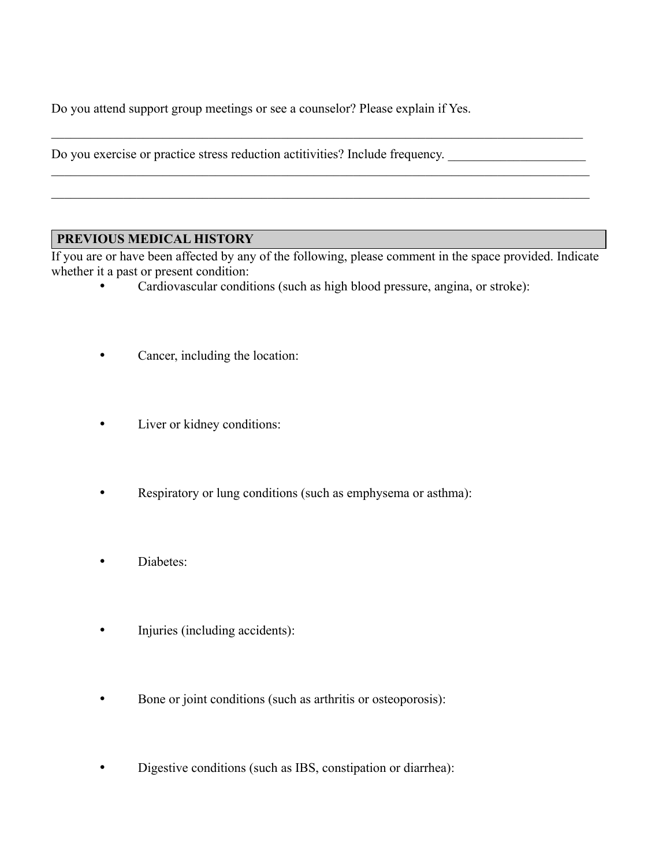Do you attend support group meetings or see a counselor? Please explain if Yes.

Do you exercise or practice stress reduction actitivities? Include frequency.

## **PREVIOUS MEDICAL HISTORY**

If you are or have been affected by any of the following, please comment in the space provided. Indicate whether it a past or present condition:

• Cardiovascular conditions (such as high blood pressure, angina, or stroke):

 $\mathcal{L}_\mathcal{L} = \{ \mathcal{L}_\mathcal{L} = \{ \mathcal{L}_\mathcal{L} = \{ \mathcal{L}_\mathcal{L} = \{ \mathcal{L}_\mathcal{L} = \{ \mathcal{L}_\mathcal{L} = \{ \mathcal{L}_\mathcal{L} = \{ \mathcal{L}_\mathcal{L} = \{ \mathcal{L}_\mathcal{L} = \{ \mathcal{L}_\mathcal{L} = \{ \mathcal{L}_\mathcal{L} = \{ \mathcal{L}_\mathcal{L} = \{ \mathcal{L}_\mathcal{L} = \{ \mathcal{L}_\mathcal{L} = \{ \mathcal{L}_\mathcal{$ 

 $\mathcal{L}_\mathcal{L} = \{ \mathcal{L}_\mathcal{L} = \{ \mathcal{L}_\mathcal{L} = \{ \mathcal{L}_\mathcal{L} = \{ \mathcal{L}_\mathcal{L} = \{ \mathcal{L}_\mathcal{L} = \{ \mathcal{L}_\mathcal{L} = \{ \mathcal{L}_\mathcal{L} = \{ \mathcal{L}_\mathcal{L} = \{ \mathcal{L}_\mathcal{L} = \{ \mathcal{L}_\mathcal{L} = \{ \mathcal{L}_\mathcal{L} = \{ \mathcal{L}_\mathcal{L} = \{ \mathcal{L}_\mathcal{L} = \{ \mathcal{L}_\mathcal{$ 

 $\mathcal{L}_\mathcal{L} = \{ \mathcal{L}_\mathcal{L} = \{ \mathcal{L}_\mathcal{L} = \{ \mathcal{L}_\mathcal{L} = \{ \mathcal{L}_\mathcal{L} = \{ \mathcal{L}_\mathcal{L} = \{ \mathcal{L}_\mathcal{L} = \{ \mathcal{L}_\mathcal{L} = \{ \mathcal{L}_\mathcal{L} = \{ \mathcal{L}_\mathcal{L} = \{ \mathcal{L}_\mathcal{L} = \{ \mathcal{L}_\mathcal{L} = \{ \mathcal{L}_\mathcal{L} = \{ \mathcal{L}_\mathcal{L} = \{ \mathcal{L}_\mathcal{$ 

- Cancer, including the location:
- Liver or kidney conditions:
- Respiratory or lung conditions (such as emphysema or asthma):
- Diabetes:
- Injuries (including accidents):
- Bone or joint conditions (such as arthritis or osteoporosis):
- Digestive conditions (such as IBS, constipation or diarrhea):